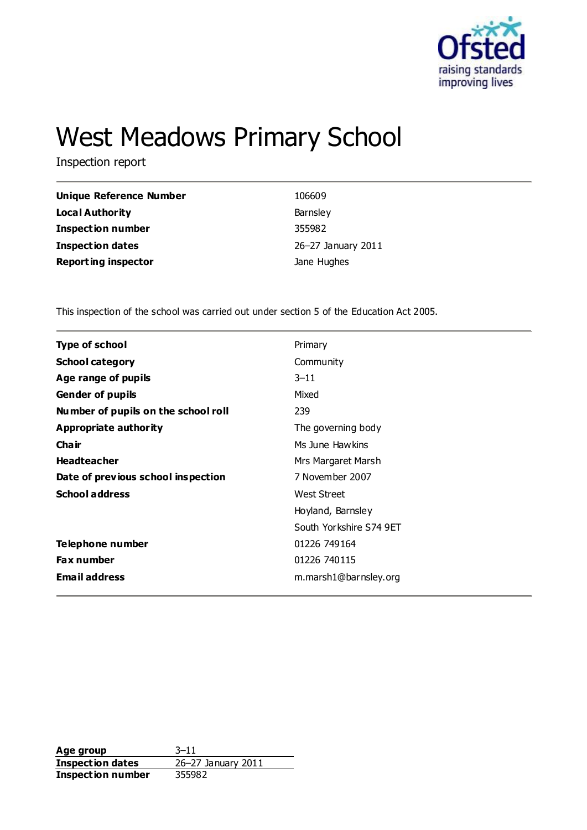

# West Meadows Primary School

Inspection report

| Unique Reference Number    | 106609             |
|----------------------------|--------------------|
| Local Authority            | Barnsley           |
| <b>Inspection number</b>   | 355982             |
| Inspection dates           | 26-27 January 2011 |
| <b>Reporting inspector</b> | Jane Hughes        |

This inspection of the school was carried out under section 5 of the Education Act 2005.

| <b>Type of school</b>               | Primary                 |
|-------------------------------------|-------------------------|
| <b>School category</b>              | Community               |
| Age range of pupils                 | $3 - 11$                |
| <b>Gender of pupils</b>             | Mixed                   |
| Number of pupils on the school roll | 239                     |
| Appropriate authority               | The governing body      |
| Cha ir                              | Ms June Hawkins         |
| <b>Headteacher</b>                  | Mrs Margaret Marsh      |
| Date of previous school inspection  | 7 November 2007         |
| <b>School address</b>               | <b>West Street</b>      |
|                                     | Hoyland, Barnsley       |
|                                     | South Yorkshire S74 9ET |
| Telephone number                    | 01226 749164            |
| <b>Fax number</b>                   | 01226 740115            |
| <b>Email address</b>                | m.marsh1@barnsley.org   |

**Age group** 3–11 **Inspection dates** 26–27 January 2011 **Inspection number** 355982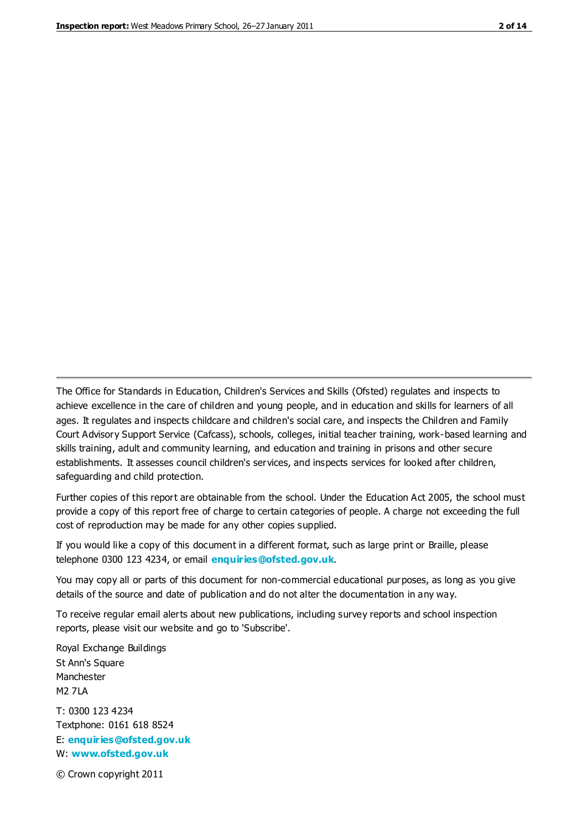The Office for Standards in Education, Children's Services and Skills (Ofsted) regulates and inspects to achieve excellence in the care of children and young people, and in education and skills for learners of all ages. It regulates and inspects childcare and children's social care, and inspects the Children and Family Court Advisory Support Service (Cafcass), schools, colleges, initial teacher training, work-based learning and skills training, adult and community learning, and education and training in prisons and other secure establishments. It assesses council children's services, and inspects services for looked after children, safeguarding and child protection.

Further copies of this report are obtainable from the school. Under the Education Act 2005, the school must provide a copy of this report free of charge to certain categories of people. A charge not exceeding the full cost of reproduction may be made for any other copies supplied.

If you would like a copy of this document in a different format, such as large print or Braille, please telephone 0300 123 4234, or email **[enquiries@ofsted.gov.uk](mailto:enquiries@ofsted.gov.uk)**.

You may copy all or parts of this document for non-commercial educational purposes, as long as you give details of the source and date of publication and do not alter the documentation in any way.

To receive regular email alerts about new publications, including survey reports and school inspection reports, please visit our website and go to 'Subscribe'.

Royal Exchange Buildings St Ann's Square Manchester M2 7LA T: 0300 123 4234 Textphone: 0161 618 8524 E: **[enquiries@ofsted.gov.uk](mailto:enquiries@ofsted.gov.uk)**

W: **[www.ofsted.gov.uk](http://www.ofsted.gov.uk/)**

© Crown copyright 2011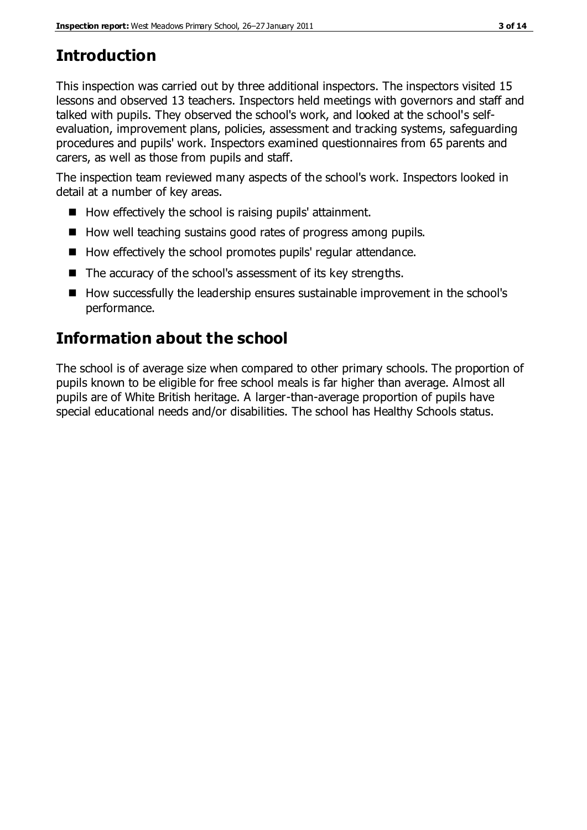# **Introduction**

This inspection was carried out by three additional inspectors. The inspectors visited 15 lessons and observed 13 teachers. Inspectors held meetings with governors and staff and talked with pupils. They observed the school's work, and looked at the school's selfevaluation, improvement plans, policies, assessment and tracking systems, safeguarding procedures and pupils' work. Inspectors examined questionnaires from 65 parents and carers, as well as those from pupils and staff.

The inspection team reviewed many aspects of the school's work. Inspectors looked in detail at a number of key areas.

- How effectively the school is raising pupils' attainment.
- How well teaching sustains good rates of progress among pupils.
- How effectively the school promotes pupils' regular attendance.
- $\blacksquare$  The accuracy of the school's assessment of its key strengths.
- How successfully the leadership ensures sustainable improvement in the school's performance.

# **Information about the school**

The school is of average size when compared to other primary schools. The proportion of pupils known to be eligible for free school meals is far higher than average. Almost all pupils are of White British heritage. A larger-than-average proportion of pupils have special educational needs and/or disabilities. The school has Healthy Schools status.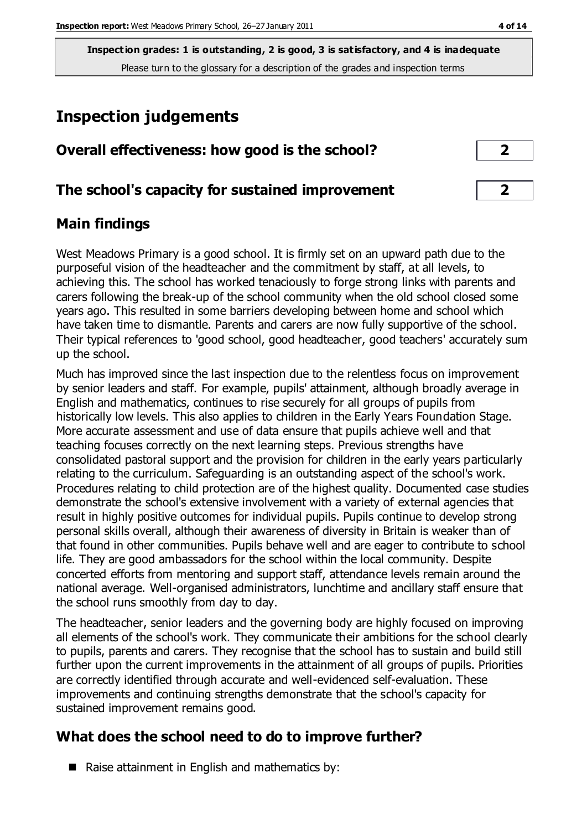# **Inspection judgements**

| Overall effectiveness: how good is the school? |  |
|------------------------------------------------|--|
|------------------------------------------------|--|

# **The school's capacity for sustained improvement 2**

# **Main findings**

West Meadows Primary is a good school. It is firmly set on an upward path due to the purposeful vision of the headteacher and the commitment by staff, at all levels, to achieving this. The school has worked tenaciously to forge strong links with parents and carers following the break-up of the school community when the old school closed some years ago. This resulted in some barriers developing between home and school which have taken time to dismantle. Parents and carers are now fully supportive of the school. Their typical references to 'good school, good headteacher, good teachers' accurately sum up the school.

Much has improved since the last inspection due to the relentless focus on improvement by senior leaders and staff. For example, pupils' attainment, although broadly average in English and mathematics, continues to rise securely for all groups of pupils from historically low levels. This also applies to children in the Early Years Foundation Stage. More accurate assessment and use of data ensure that pupils achieve well and that teaching focuses correctly on the next learning steps. Previous strengths have consolidated pastoral support and the provision for children in the early years particularly relating to the curriculum. Safeguarding is an outstanding aspect of the school's work. Procedures relating to child protection are of the highest quality. Documented case studies demonstrate the school's extensive involvement with a variety of external agencies that result in highly positive outcomes for individual pupils. Pupils continue to develop strong personal skills overall, although their awareness of diversity in Britain is weaker than of that found in other communities. Pupils behave well and are eager to contribute to school life. They are good ambassadors for the school within the local community. Despite concerted efforts from mentoring and support staff, attendance levels remain around the national average. Well-organised administrators, lunchtime and ancillary staff ensure that the school runs smoothly from day to day.

The headteacher, senior leaders and the governing body are highly focused on improving all elements of the school's work. They communicate their ambitions for the school clearly to pupils, parents and carers. They recognise that the school has to sustain and build still further upon the current improvements in the attainment of all groups of pupils. Priorities are correctly identified through accurate and well-evidenced self-evaluation. These improvements and continuing strengths demonstrate that the school's capacity for sustained improvement remains good.

# **What does the school need to do to improve further?**

 $\blacksquare$  Raise attainment in English and mathematics by: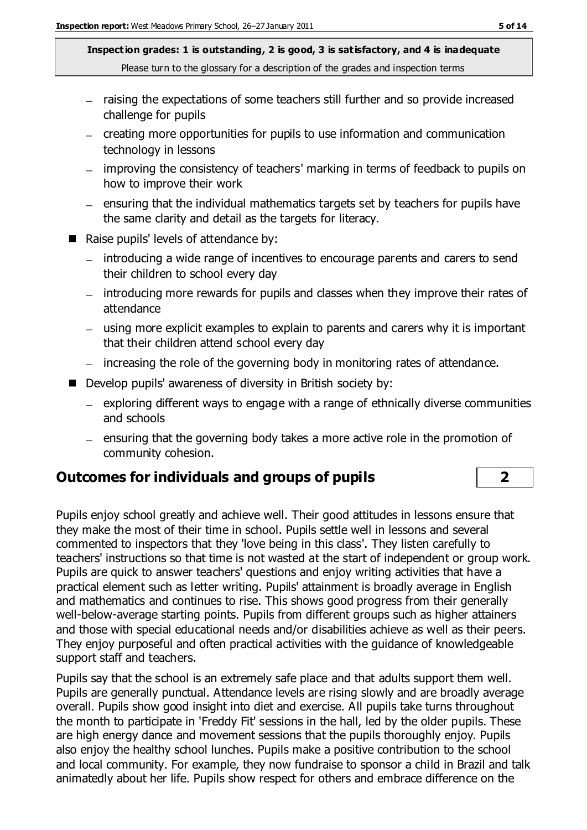- raising the expectations of some teachers still further and so provide increased challenge for pupils
- creating more opportunities for pupils to use information and communication technology in lessons
- improving the consistency of teachers' marking in terms of feedback to pupils on how to improve their work
- $-$  ensuring that the individual mathematics targets set by teachers for pupils have the same clarity and detail as the targets for literacy.
- Raise pupils' levels of attendance by:
	- introducing a wide range of incentives to encourage parents and carers to send their children to school every day
	- introducing more rewards for pupils and classes when they improve their rates of attendance
	- using more explicit examples to explain to parents and carers why it is important that their children attend school every day
	- increasing the role of the governing body in monitoring rates of attendance.
- Develop pupils' awareness of diversity in British society by:
	- $-$  exploring different ways to engage with a range of ethnically diverse communities and schools
	- $=$  ensuring that the governing body takes a more active role in the promotion of community cohesion.

# **Outcomes for individuals and groups of pupils 2**

Pupils enjoy school greatly and achieve well. Their good attitudes in lessons ensure that they make the most of their time in school. Pupils settle well in lessons and several commented to inspectors that they 'love being in this class'. They listen carefully to teachers' instructions so that time is not wasted at the start of independent or group work. Pupils are quick to answer teachers' questions and enjoy writing activities that have a practical element such as letter writing. Pupils' attainment is broadly average in English and mathematics and continues to rise. This shows good progress from their generally well-below-average starting points. Pupils from different groups such as higher attainers and those with special educational needs and/or disabilities achieve as well as their peers. They enjoy purposeful and often practical activities with the guidance of knowledgeable support staff and teachers.

Pupils say that the school is an extremely safe place and that adults support them well. Pupils are generally punctual. Attendance levels are rising slowly and are broadly average overall. Pupils show good insight into diet and exercise. All pupils take turns throughout the month to participate in 'Freddy Fit' sessions in the hall, led by the older pupils. These are high energy dance and movement sessions that the pupils thoroughly enjoy. Pupils also enjoy the healthy school lunches. Pupils make a positive contribution to the school and local community. For example, they now fundraise to sponsor a child in Brazil and talk animatedly about her life. Pupils show respect for others and embrace difference on the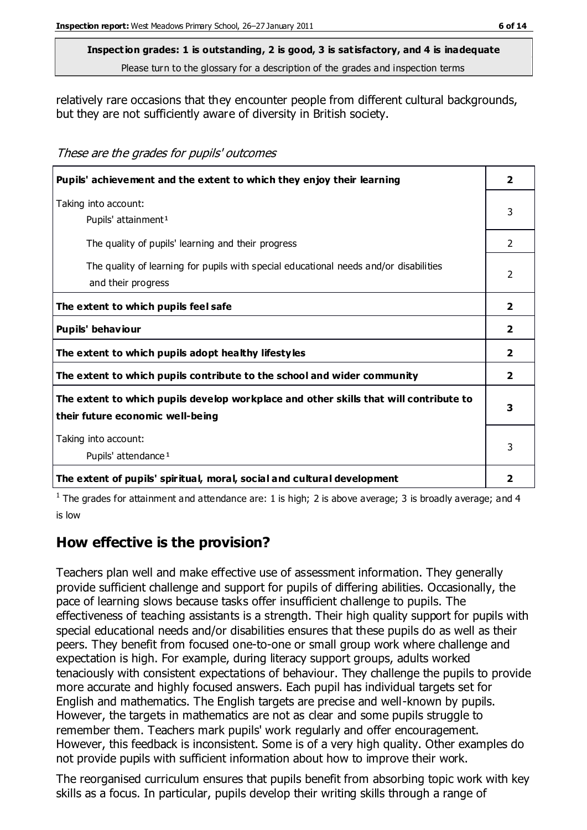#### **Inspection grades: 1 is outstanding, 2 is good, 3 is satisfactory, and 4 is inadequate**

Please turn to the glossary for a description of the grades and inspection terms

relatively rare occasions that they encounter people from different cultural backgrounds, but they are not sufficiently aware of diversity in British society.

These are the grades for pupils' outcomes

| Pupils' achievement and the extent to which they enjoy their learning                                                     | $\overline{\mathbf{2}}$ |
|---------------------------------------------------------------------------------------------------------------------------|-------------------------|
| Taking into account:<br>Pupils' attainment <sup>1</sup>                                                                   | 3                       |
| The quality of pupils' learning and their progress                                                                        | 2                       |
| The quality of learning for pupils with special educational needs and/or disabilities<br>and their progress               | $\mathcal{P}$           |
| The extent to which pupils feel safe                                                                                      | $\overline{2}$          |
| Pupils' behaviour                                                                                                         | $\mathbf{2}$            |
| The extent to which pupils adopt healthy lifestyles                                                                       | $\overline{2}$          |
| The extent to which pupils contribute to the school and wider community                                                   | $\overline{2}$          |
| The extent to which pupils develop workplace and other skills that will contribute to<br>their future economic well-being | 3                       |
| Taking into account:<br>Pupils' attendance <sup>1</sup>                                                                   |                         |
| The extent of pupils' spiritual, moral, social and cultural development                                                   | $\overline{2}$          |

<sup>1</sup> The grades for attainment and attendance are: 1 is high; 2 is above average; 3 is broadly average; and 4 is low

# **How effective is the provision?**

Teachers plan well and make effective use of assessment information. They generally provide sufficient challenge and support for pupils of differing abilities. Occasionally, the pace of learning slows because tasks offer insufficient challenge to pupils. The effectiveness of teaching assistants is a strength. Their high quality support for pupils with special educational needs and/or disabilities ensures that these pupils do as well as their peers. They benefit from focused one-to-one or small group work where challenge and expectation is high. For example, during literacy support groups, adults worked tenaciously with consistent expectations of behaviour. They challenge the pupils to provide more accurate and highly focused answers. Each pupil has individual targets set for English and mathematics. The English targets are precise and well-known by pupils. However, the targets in mathematics are not as clear and some pupils struggle to remember them. Teachers mark pupils' work regularly and offer encouragement. However, this feedback is inconsistent. Some is of a very high quality. Other examples do not provide pupils with sufficient information about how to improve their work.

The reorganised curriculum ensures that pupils benefit from absorbing topic work with key skills as a focus. In particular, pupils develop their writing skills through a range of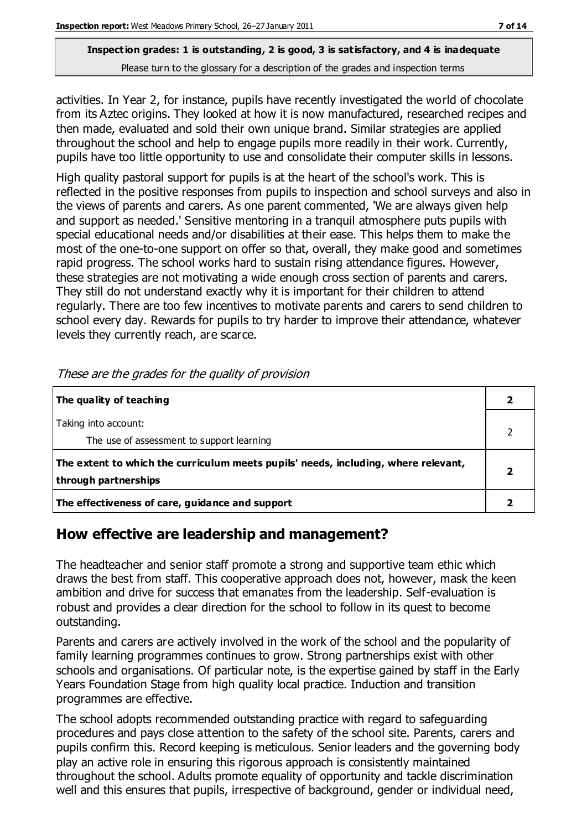activities. In Year 2, for instance, pupils have recently investigated the world of chocolate from its Aztec origins. They looked at how it is now manufactured, researched recipes and then made, evaluated and sold their own unique brand. Similar strategies are applied throughout the school and help to engage pupils more readily in their work. Currently, pupils have too little opportunity to use and consolidate their computer skills in lessons.

High quality pastoral support for pupils is at the heart of the school's work. This is reflected in the positive responses from pupils to inspection and school surveys and also in the views of parents and carers. As one parent commented, 'We are always given help and support as needed.' Sensitive mentoring in a tranquil atmosphere puts pupils with special educational needs and/or disabilities at their ease. This helps them to make the most of the one-to-one support on offer so that, overall, they make good and sometimes rapid progress. The school works hard to sustain rising attendance figures. However, these strategies are not motivating a wide enough cross section of parents and carers. They still do not understand exactly why it is important for their children to attend regularly. There are too few incentives to motivate parents and carers to send children to school every day. Rewards for pupils to try harder to improve their attendance, whatever levels they currently reach, are scarce.

| The quality of teaching                                                                                    |  |
|------------------------------------------------------------------------------------------------------------|--|
| Taking into account:<br>The use of assessment to support learning                                          |  |
| The extent to which the curriculum meets pupils' needs, including, where relevant,<br>through partnerships |  |
| The effectiveness of care, guidance and support                                                            |  |

These are the grades for the quality of provision

### **How effective are leadership and management?**

The headteacher and senior staff promote a strong and supportive team ethic which draws the best from staff. This cooperative approach does not, however, mask the keen ambition and drive for success that emanates from the leadership. Self-evaluation is robust and provides a clear direction for the school to follow in its quest to become outstanding.

Parents and carers are actively involved in the work of the school and the popularity of family learning programmes continues to grow. Strong partnerships exist with other schools and organisations. Of particular note, is the expertise gained by staff in the Early Years Foundation Stage from high quality local practice. Induction and transition programmes are effective.

The school adopts recommended outstanding practice with regard to safeguarding procedures and pays close attention to the safety of the school site. Parents, carers and pupils confirm this. Record keeping is meticulous. Senior leaders and the governing body play an active role in ensuring this rigorous approach is consistently maintained throughout the school. Adults promote equality of opportunity and tackle discrimination well and this ensures that pupils, irrespective of background, gender or individual need,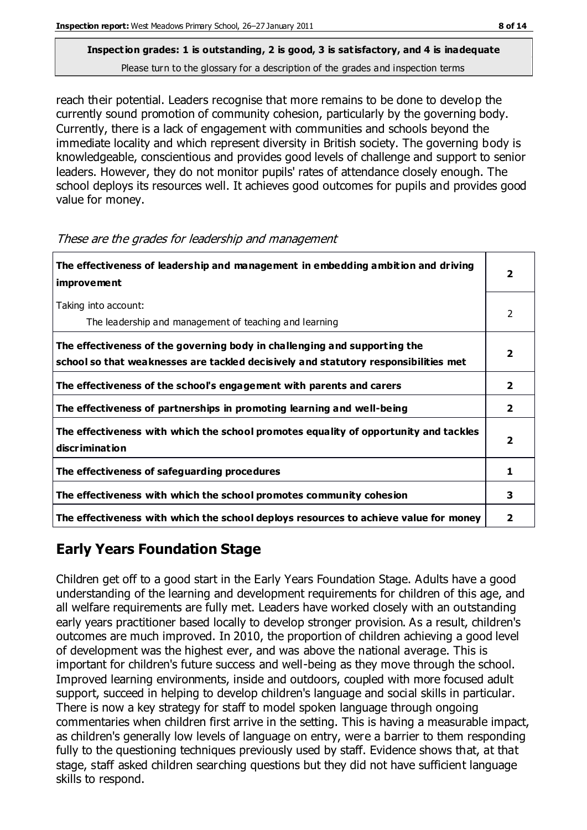reach their potential. Leaders recognise that more remains to be done to develop the currently sound promotion of community cohesion, particularly by the governing body. Currently, there is a lack of engagement with communities and schools beyond the immediate locality and which represent diversity in British society. The governing body is knowledgeable, conscientious and provides good levels of challenge and support to senior leaders. However, they do not monitor pupils' rates of attendance closely enough. The school deploys its resources well. It achieves good outcomes for pupils and provides good value for money.

| The effectiveness of leadership and management in embedding ambition and driving<br><b>improvement</b>                                                           | 2                       |
|------------------------------------------------------------------------------------------------------------------------------------------------------------------|-------------------------|
| Taking into account:<br>The leadership and management of teaching and learning                                                                                   | $\mathcal{P}$           |
| The effectiveness of the governing body in challenging and supporting the<br>school so that weaknesses are tackled decisively and statutory responsibilities met |                         |
| The effectiveness of the school's engagement with parents and carers                                                                                             | $\mathbf{2}$            |
| The effectiveness of partnerships in promoting learning and well-being                                                                                           | $\overline{2}$          |
| The effectiveness with which the school promotes equality of opportunity and tackles<br>discrimination                                                           | $\overline{\mathbf{2}}$ |
| The effectiveness of safeguarding procedures                                                                                                                     | 1                       |
| The effectiveness with which the school promotes community cohesion                                                                                              | 3                       |
| The effectiveness with which the school deploys resources to achieve value for money                                                                             | 2                       |

#### These are the grades for leadership and management

# **Early Years Foundation Stage**

Children get off to a good start in the Early Years Foundation Stage. Adults have a good understanding of the learning and development requirements for children of this age, and all welfare requirements are fully met. Leaders have worked closely with an outstanding early years practitioner based locally to develop stronger provision. As a result, children's outcomes are much improved. In 2010, the proportion of children achieving a good level of development was the highest ever, and was above the national average. This is important for children's future success and well-being as they move through the school. Improved learning environments, inside and outdoors, coupled with more focused adult support, succeed in helping to develop children's language and social skills in particular. There is now a key strategy for staff to model spoken language through ongoing commentaries when children first arrive in the setting. This is having a measurable impact, as children's generally low levels of language on entry, were a barrier to them responding fully to the questioning techniques previously used by staff. Evidence shows that, at that stage, staff asked children searching questions but they did not have sufficient language skills to respond.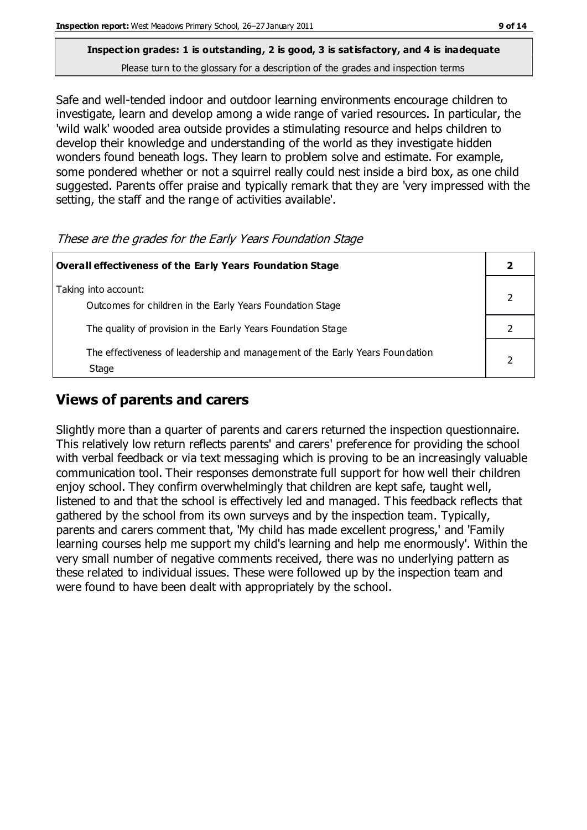# **Inspection grades: 1 is outstanding, 2 is good, 3 is satisfactory, and 4 is inadequate**

Please turn to the glossary for a description of the grades and inspection terms

Safe and well-tended indoor and outdoor learning environments encourage children to investigate, learn and develop among a wide range of varied resources. In particular, the 'wild walk' wooded area outside provides a stimulating resource and helps children to develop their knowledge and understanding of the world as they investigate hidden wonders found beneath logs. They learn to problem solve and estimate. For example, some pondered whether or not a squirrel really could nest inside a bird box, as one child suggested. Parents offer praise and typically remark that they are 'very impressed with the setting, the staff and the range of activities available'.

These are the grades for the Early Years Foundation Stage

| <b>Overall effectiveness of the Early Years Foundation Stage</b>                      |  |
|---------------------------------------------------------------------------------------|--|
| Taking into account:<br>Outcomes for children in the Early Years Foundation Stage     |  |
| The quality of provision in the Early Years Foundation Stage                          |  |
| The effectiveness of leadership and management of the Early Years Foundation<br>Stage |  |

# **Views of parents and carers**

Slightly more than a quarter of parents and carers returned the inspection questionnaire. This relatively low return reflects parents' and carers' preference for providing the school with verbal feedback or via text messaging which is proving to be an increasingly valuable communication tool. Their responses demonstrate full support for how well their children enjoy school. They confirm overwhelmingly that children are kept safe, taught well, listened to and that the school is effectively led and managed. This feedback reflects that gathered by the school from its own surveys and by the inspection team. Typically, parents and carers comment that, 'My child has made excellent progress,' and 'Family learning courses help me support my child's learning and help me enormously'. Within the very small number of negative comments received, there was no underlying pattern as these related to individual issues. These were followed up by the inspection team and were found to have been dealt with appropriately by the school.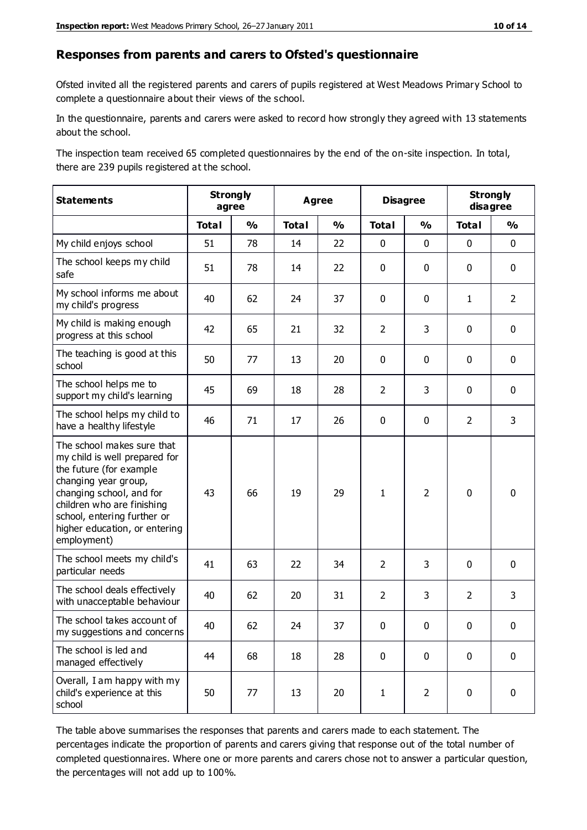#### **Responses from parents and carers to Ofsted's questionnaire**

Ofsted invited all the registered parents and carers of pupils registered at West Meadows Primary School to complete a questionnaire about their views of the school.

In the questionnaire, parents and carers were asked to record how strongly they agreed with 13 statements about the school.

The inspection team received 65 completed questionnaires by the end of the on-site inspection. In total, there are 239 pupils registered at the school.

| <b>Statements</b>                                                                                                                                                                                                                                       | <b>Strongly</b><br>agree |               | <b>Agree</b> |               | <b>Disagree</b> |                | <b>Strongly</b><br>disagree |                |
|---------------------------------------------------------------------------------------------------------------------------------------------------------------------------------------------------------------------------------------------------------|--------------------------|---------------|--------------|---------------|-----------------|----------------|-----------------------------|----------------|
|                                                                                                                                                                                                                                                         | <b>Total</b>             | $\frac{0}{0}$ | <b>Total</b> | $\frac{0}{0}$ | <b>Total</b>    | $\frac{0}{0}$  | <b>Total</b>                | $\frac{0}{0}$  |
| My child enjoys school                                                                                                                                                                                                                                  | 51                       | 78            | 14           | 22            | 0               | $\mathbf 0$    | $\mathbf 0$                 | $\mathbf 0$    |
| The school keeps my child<br>safe                                                                                                                                                                                                                       | 51                       | 78            | 14           | 22            | 0               | 0              | $\mathbf 0$                 | $\mathbf 0$    |
| My school informs me about<br>my child's progress                                                                                                                                                                                                       | 40                       | 62            | 24           | 37            | 0               | $\mathbf{0}$   | $\mathbf{1}$                | $\overline{2}$ |
| My child is making enough<br>progress at this school                                                                                                                                                                                                    | 42                       | 65            | 21           | 32            | $\overline{2}$  | 3              | 0                           | $\mathbf 0$    |
| The teaching is good at this<br>school                                                                                                                                                                                                                  | 50                       | 77            | 13           | 20            | 0               | 0              | $\mathbf{0}$                | $\mathbf 0$    |
| The school helps me to<br>support my child's learning                                                                                                                                                                                                   | 45                       | 69            | 18           | 28            | $\overline{2}$  | 3              | 0                           | $\mathbf 0$    |
| The school helps my child to<br>have a healthy lifestyle                                                                                                                                                                                                | 46                       | 71            | 17           | 26            | 0               | 0              | $\overline{2}$              | 3              |
| The school makes sure that<br>my child is well prepared for<br>the future (for example<br>changing year group,<br>changing school, and for<br>children who are finishing<br>school, entering further or<br>higher education, or entering<br>employment) | 43                       | 66            | 19           | 29            | $\mathbf{1}$    | $\overline{2}$ | $\mathbf 0$                 | $\mathbf 0$    |
| The school meets my child's<br>particular needs                                                                                                                                                                                                         | 41                       | 63            | 22           | 34            | $\overline{2}$  | 3              | $\mathbf 0$                 | $\mathbf 0$    |
| The school deals effectively<br>with unacceptable behaviour                                                                                                                                                                                             | 40                       | 62            | 20           | 31            | $\overline{2}$  | 3              | $\overline{2}$              | 3              |
| The school takes account of<br>my suggestions and concerns                                                                                                                                                                                              | 40                       | 62            | 24           | 37            | $\mathbf{0}$    | 0              | $\Omega$                    | 0              |
| The school is led and<br>managed effectively                                                                                                                                                                                                            | 44                       | 68            | 18           | 28            | $\mathbf 0$     | $\mathbf 0$    | $\mathbf 0$                 | $\mathbf 0$    |
| Overall, I am happy with my<br>child's experience at this<br>school                                                                                                                                                                                     | 50                       | 77            | 13           | 20            | $\mathbf{1}$    | $\overline{2}$ | $\mathbf 0$                 | $\mathbf 0$    |

The table above summarises the responses that parents and carers made to each statement. The percentages indicate the proportion of parents and carers giving that response out of the total number of completed questionnaires. Where one or more parents and carers chose not to answer a particular question, the percentages will not add up to 100%.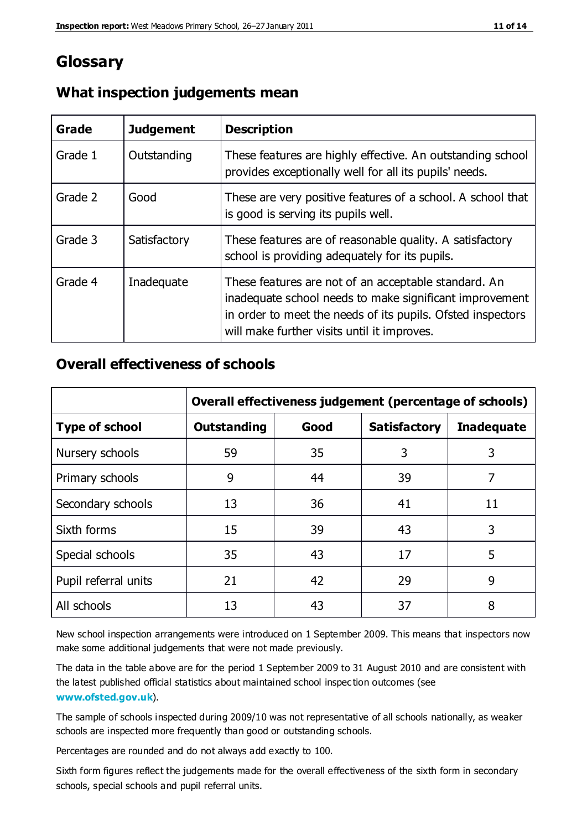# **Glossary**

| Grade   | <b>Judgement</b> | <b>Description</b>                                                                                                                                                                                                            |
|---------|------------------|-------------------------------------------------------------------------------------------------------------------------------------------------------------------------------------------------------------------------------|
| Grade 1 | Outstanding      | These features are highly effective. An outstanding school<br>provides exceptionally well for all its pupils' needs.                                                                                                          |
| Grade 2 | Good             | These are very positive features of a school. A school that<br>is good is serving its pupils well.                                                                                                                            |
| Grade 3 | Satisfactory     | These features are of reasonable quality. A satisfactory<br>school is providing adequately for its pupils.                                                                                                                    |
| Grade 4 | Inadequate       | These features are not of an acceptable standard. An<br>inadequate school needs to make significant improvement<br>in order to meet the needs of its pupils. Ofsted inspectors<br>will make further visits until it improves. |

### **What inspection judgements mean**

# **Overall effectiveness of schools**

|                       | Overall effectiveness judgement (percentage of schools) |      |                     |                   |
|-----------------------|---------------------------------------------------------|------|---------------------|-------------------|
| <b>Type of school</b> | <b>Outstanding</b>                                      | Good | <b>Satisfactory</b> | <b>Inadequate</b> |
| Nursery schools       | 59                                                      | 35   | 3                   | 3                 |
| Primary schools       | 9                                                       | 44   | 39                  | 7                 |
| Secondary schools     | 13                                                      | 36   | 41                  | 11                |
| Sixth forms           | 15                                                      | 39   | 43                  | 3                 |
| Special schools       | 35                                                      | 43   | 17                  | 5                 |
| Pupil referral units  | 21                                                      | 42   | 29                  | 9                 |
| All schools           | 13                                                      | 43   | 37                  | 8                 |

New school inspection arrangements were introduced on 1 September 2009. This means that inspectors now make some additional judgements that were not made previously.

The data in the table above are for the period 1 September 2009 to 31 August 2010 and are consistent with the latest published official statistics about maintained school inspec tion outcomes (see **[www.ofsted.gov.uk](http://www.ofsted.gov.uk/)**).

The sample of schools inspected during 2009/10 was not representative of all schools nationally, as weaker schools are inspected more frequently than good or outstanding schools.

Percentages are rounded and do not always add exactly to 100.

Sixth form figures reflect the judgements made for the overall effectiveness of the sixth form in secondary schools, special schools and pupil referral units.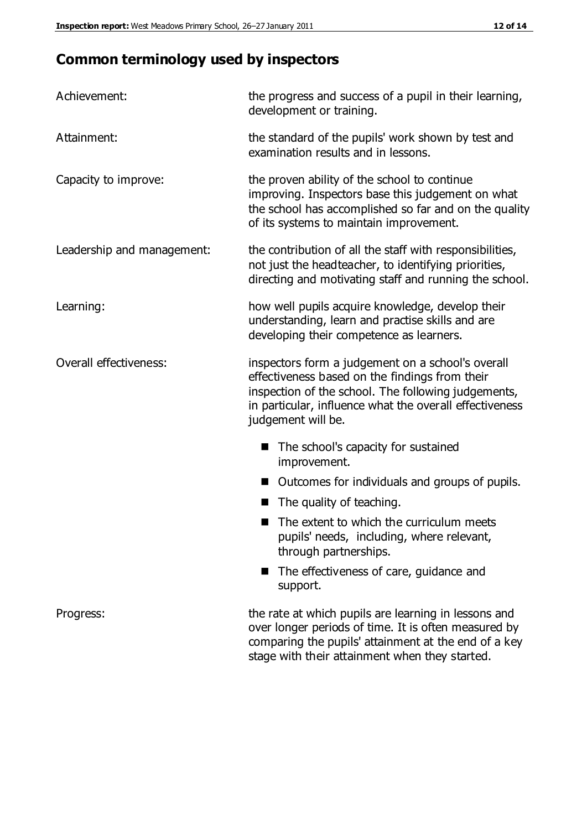# **Common terminology used by inspectors**

| Achievement:                  | the progress and success of a pupil in their learning,<br>development or training.                                                                                                                                                          |  |  |
|-------------------------------|---------------------------------------------------------------------------------------------------------------------------------------------------------------------------------------------------------------------------------------------|--|--|
| Attainment:                   | the standard of the pupils' work shown by test and<br>examination results and in lessons.                                                                                                                                                   |  |  |
| Capacity to improve:          | the proven ability of the school to continue<br>improving. Inspectors base this judgement on what<br>the school has accomplished so far and on the quality<br>of its systems to maintain improvement.                                       |  |  |
| Leadership and management:    | the contribution of all the staff with responsibilities,<br>not just the headteacher, to identifying priorities,<br>directing and motivating staff and running the school.                                                                  |  |  |
| Learning:                     | how well pupils acquire knowledge, develop their<br>understanding, learn and practise skills and are<br>developing their competence as learners.                                                                                            |  |  |
| <b>Overall effectiveness:</b> | inspectors form a judgement on a school's overall<br>effectiveness based on the findings from their<br>inspection of the school. The following judgements,<br>in particular, influence what the overall effectiveness<br>judgement will be. |  |  |
|                               | The school's capacity for sustained<br>improvement.                                                                                                                                                                                         |  |  |
|                               | Outcomes for individuals and groups of pupils.                                                                                                                                                                                              |  |  |
|                               | The quality of teaching.                                                                                                                                                                                                                    |  |  |
|                               | The extent to which the curriculum meets<br>pupils' needs, including, where relevant,<br>through partnerships.                                                                                                                              |  |  |
|                               | The effectiveness of care, guidance and<br>support.                                                                                                                                                                                         |  |  |
| Progress:                     | the rate at which pupils are learning in lessons and<br>over longer periods of time. It is often measured by<br>comparing the pupils' attainment at the end of a key                                                                        |  |  |

stage with their attainment when they started.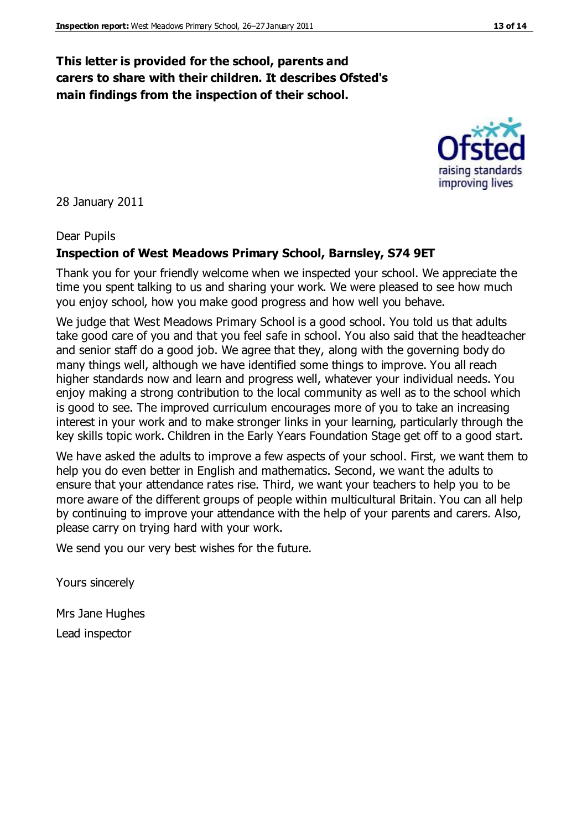### **This letter is provided for the school, parents and carers to share with their children. It describes Ofsted's main findings from the inspection of their school.**

28 January 2011

#### Dear Pupils

#### **Inspection of West Meadows Primary School, Barnsley, S74 9ET**

Thank you for your friendly welcome when we inspected your school. We appreciate the time you spent talking to us and sharing your work. We were pleased to see how much you enjoy school, how you make good progress and how well you behave.

We judge that West Meadows Primary School is a good school. You told us that adults take good care of you and that you feel safe in school. You also said that the headteacher and senior staff do a good job. We agree that they, along with the governing body do many things well, although we have identified some things to improve. You all reach higher standards now and learn and progress well, whatever your individual needs. You enjoy making a strong contribution to the local community as well as to the school which is good to see. The improved curriculum encourages more of you to take an increasing interest in your work and to make stronger links in your learning, particularly through the key skills topic work. Children in the Early Years Foundation Stage get off to a good start.

We have asked the adults to improve a few aspects of your school. First, we want them to help you do even better in English and mathematics. Second, we want the adults to ensure that your attendance rates rise. Third, we want your teachers to help you to be more aware of the different groups of people within multicultural Britain. You can all help by continuing to improve your attendance with the help of your parents and carers. Also, please carry on trying hard with your work.

We send you our very best wishes for the future.

Yours sincerely

Mrs Jane Hughes Lead inspector